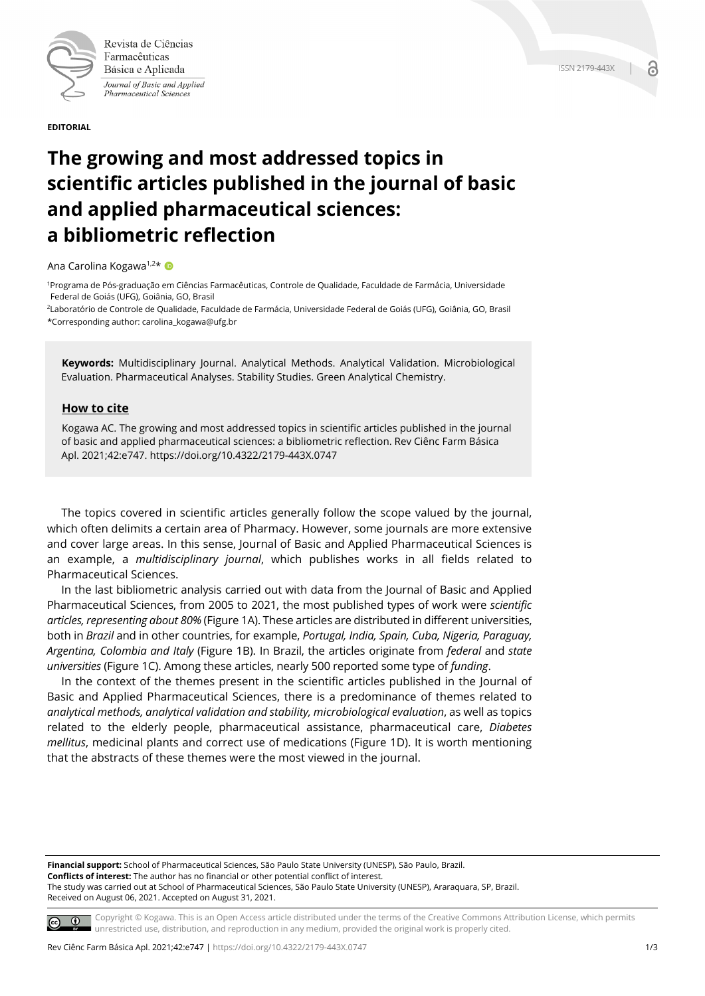

Revista de Ciências Farmacêuticas Básica e Aplicada Journal of Basic and Applied Pharmaceutical Sciences

**EDITORIAL**

## **The growing and most addressed topics in scientific articles published in the journal of basic and applied pharmaceutical sciences: a bibliometric reflection**

Ana Carolina Kogawa<sup>1,2\*</sup>

1Programa de Pós-graduação em Ciências Farmacêuticas, Controle de Qualidade, Faculdade de Farmácia, Universidade Federal de Goiás (UFG), Goiânia, GO, Brasil

2Laboratório de Controle de Qualidade, Faculdade de Farmácia, Universidade Federal de Goiás (UFG), Goiânia, GO, Brasil \*Corresponding author: carolina\_kogawa@ufg.br

**Keywords:** Multidisciplinary Journal. Analytical Methods. Analytical Validation. Microbiological Evaluation. Pharmaceutical Analyses. Stability Studies. Green Analytical Chemistry.

## **How to cite**

Kogawa AC. The growing and most addressed topics in scientific articles published in the journal of basic and applied pharmaceutical sciences: a bibliometric reflection. Rev Ciênc Farm Básica Apl. 2021;42:e747. https://doi.org/10.4322/2179-443X.0747

The topics covered in scientific articles generally follow the scope valued by the journal, which often delimits a certain area of Pharmacy. However, some journals are more extensive and cover large areas. In this sense, Journal of Basic and Applied Pharmaceutical Sciences is an example, a *multidisciplinary journal*, which publishes works in all fields related to Pharmaceutical Sciences.

In the last bibliometric analysis carried out with data from the Journal of Basic and Applied Pharmaceutical Sciences, from 2005 to 2021, the most published types of work were *scientific articles, representing about 80%* (Figure 1A). These articles are distributed in different universities, both in *Brazil* and in other countries, for example, *Portugal, India, Spain, Cuba, Nigeria, Paraguay, Argentina, Colombia and Italy* (Figure 1B). In Brazil, the articles originate from *federal* and *state universities* (Figure 1C). Among these articles, nearly 500 reported some type of *funding*.

In the context of the themes present in the scientific articles published in the Journal of Basic and Applied Pharmaceutical Sciences, there is a predominance of themes related to *analytical methods, analytical validation and stability, microbiological evaluation*, as well as topics related to the elderly people, pharmaceutical assistance, pharmaceutical care, *Diabetes mellitus*, medicinal plants and correct use of medications (Figure 1D). It is worth mentioning that the abstracts of these themes were the most viewed in the journal.

**Financial support:** School of Pharmaceutical Sciences, São Paulo State University (UNESP), São Paulo, Brazil. **Conflicts of interest:** The author has no financial or other potential conflict of interest. The study was carried out at School of Pharmaceutical Sciences, São Paulo State University (UNESP), Araraquara, SP, Brazil. Received on August 06, 2021. Accepted on August 31, 2021.

Copyright © Kogawa. This is an Open Access article distributed under the terms of the Creative Commons Attribution License, which permits  $\circ$   $\circ$ unrestricted use, distribution, and reproduction in any medium, provided the original work is properly cited.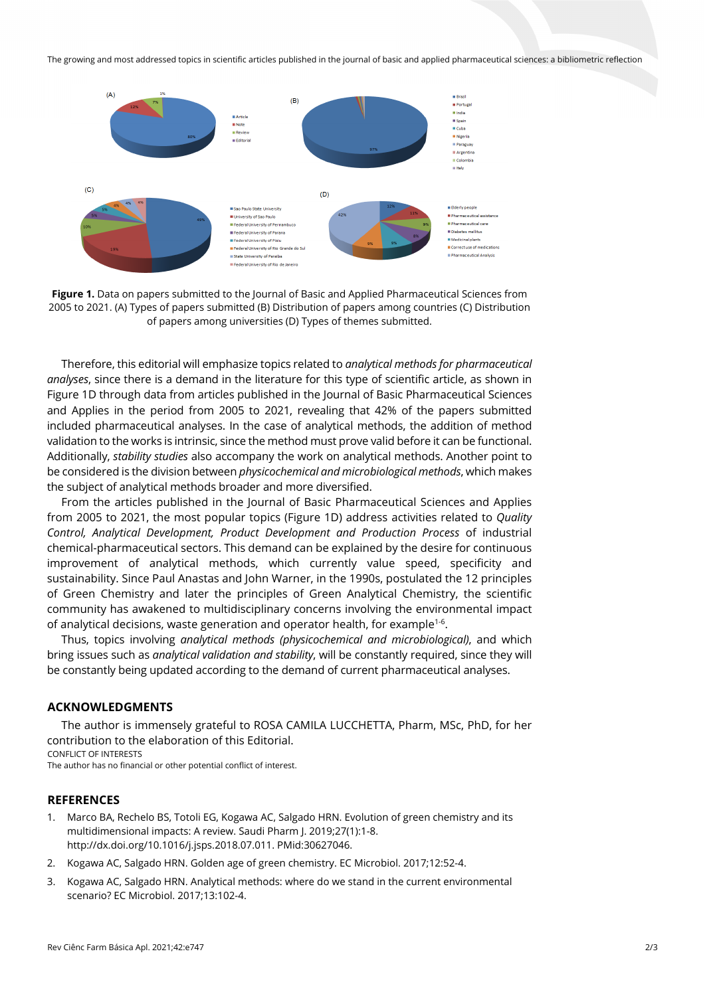The growing and most addressed topics in scientific articles published in the journal of basic and applied pharmaceutical sciences: a bibliometric reflection



**Figure 1.** Data on papers submitted to the Journal of Basic and Applied Pharmaceutical Sciences from 2005 to 2021. (A) Types of papers submitted (B) Distribution of papers among countries (C) Distribution of papers among universities (D) Types of themes submitted.

Therefore, this editorial will emphasize topics related to *analytical methods for pharmaceutical analyses*, since there is a demand in the literature for this type of scientific article, as shown in Figure 1D through data from articles published in the Journal of Basic Pharmaceutical Sciences and Applies in the period from 2005 to 2021, revealing that 42% of the papers submitted included pharmaceutical analyses. In the case of analytical methods, the addition of method validation to the works is intrinsic, since the method must prove valid before it can be functional. Additionally, *stability studies* also accompany the work on analytical methods. Another point to be considered is the division between *physicochemical and microbiological methods*, which makes the subject of analytical methods broader and more diversified.

From the articles published in the Journal of Basic Pharmaceutical Sciences and Applies from 2005 to 2021, the most popular topics (Figure 1D) address activities related to *Quality Control, Analytical Development, Product Development and Production Process* of industrial chemical-pharmaceutical sectors. This demand can be explained by the desire for continuous improvement of analytical methods, which currently value speed, specificity and sustainability. Since Paul Anastas and John Warner, in the 1990s, postulated the 12 principles of Green Chemistry and later the principles of Green Analytical Chemistry, the scientific community has awakened to multidisciplinary concerns involving the environmental impact of analytical decisions, waste generation and operator health, for example<sup>1-6</sup>.

Thus, topics involving *analytical methods (physicochemical and microbiological)*, and which bring issues such as *analytical validation and stability*, will be constantly required, since they will be constantly being updated according to the demand of current pharmaceutical analyses.

## **ACKNOWLEDGMENTS**

The author is immensely grateful to ROSA CAMILA LUCCHETTA, Pharm, MSc, PhD, for her contribution to the elaboration of this Editorial. CONFLICT OF INTERESTS

The author has no financial or other potential conflict of interest.

## **REFERENCES**

- 1. Marco BA, Rechelo BS, Totoli EG, Kogawa AC, Salgado HRN. Evolution of green chemistry and its multidimensional impacts: A review. Saudi Pharm J. 2019;27(1):1-8. [http://dx.doi.org/10.1016/j.jsps.2018.07.011.](https://doi.org/10.1016/j.jsps.2018.07.011) [PMid:30627046.](https://www.ncbi.nlm.nih.gov/entrez/query.fcgi?cmd=Retrieve&db=PubMed&list_uids=30627046&dopt=Abstract)
- 2. Kogawa AC, Salgado HRN. Golden age of green chemistry. EC Microbiol. 2017;12:52-4.
- 3. Kogawa AC, Salgado HRN. Analytical methods: where do we stand in the current environmental scenario? EC Microbiol. 2017;13:102-4.